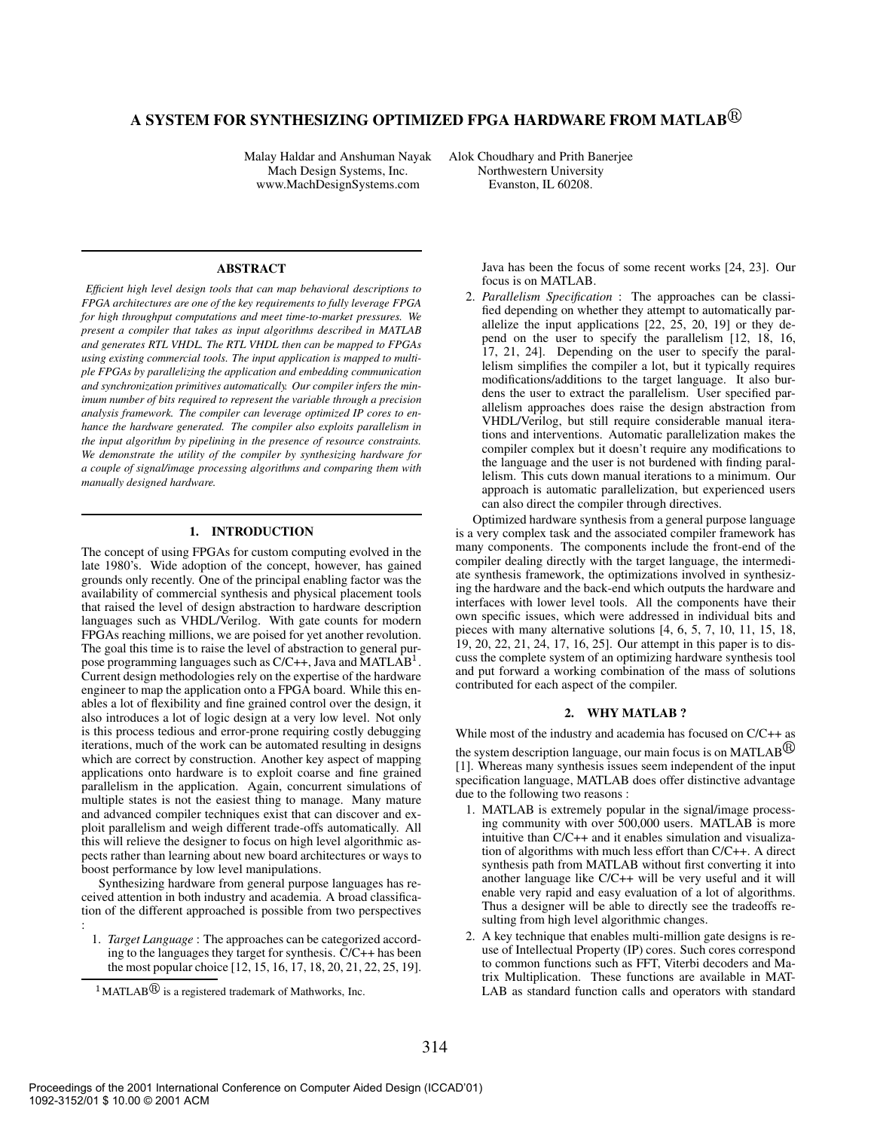# **A SYSTEM FOR SYNTHESIZING OPTIMIZED FPGA HARDWARE FROM MATLAB**

Malay Haldar and Anshuman Nayak Alok Choudhary and Prith Banerjee Mach Design Systems, Inc.<br>
ww.MachDesignSystems.com Evanston, IL 60208. www.MachDesignSystems.com

# **ABSTRACT**

*Efficient high level design tools that can map behavioral descriptions to FPGA architectures are one of the key requirements to fully leverage FPGA for high throughput computations and meet time-to-market pressures. We present a compiler that takes as input algorithms described in MATLAB and generates RTL VHDL. The RTL VHDL then can be mapped to FPGAs using existing commercial tools. The input application is mapped to multiple FPGAs by parallelizing the application and embedding communication and synchronization primitives automatically. Our compiler infers the minimum number of bits required to represent the variable through a precision analysis framework. The compiler can leverage optimized IP cores to enhance the hardware generated. The compiler also exploits parallelism in the input algorithm by pipelining in the presence of resource constraints. We demonstrate the utility of the compiler by synthesizing hardware for a couple of signal/image processing algorithms and comparing them with manually designed hardware.*

# **1. INTRODUCTION**

The concept of using FPGAs for custom computing evolved in the late 1980's. Wide adoption of the concept, however, has gained grounds only recently. One of the principal enabling factor was the availability of commercial synthesis and physical placement tools that raised the level of design abstraction to hardware description languages such as VHDL/Verilog. With gate counts for modern FPGAs reaching millions, we are poised for yet another revolution. The goal this time is to raise the level of abstraction to general purpose programming languages such as  $C/C++$ , Java and MATLAB<sup>1</sup>. Current design methodologies rely on the expertise of the hardware engineer to map the application onto a FPGA board. While this enables a lot of flexibility and fine grained control over the design, it also introduces a lot of logic design at a very low level. Not only is this process tedious and error-prone requiring costly debugging iterations, much of the work can be automated resulting in designs which are correct by construction. Another key aspect of mapping applications onto hardware is to exploit coarse and fine grained parallelism in the application. Again, concurrent simulations of multiple states is not the easiest thing to manage. Many mature and advanced compiler techniques exist that can discover and exploit parallelism and weigh different trade-offs automatically. All this will relieve the designer to focus on high level algorithmic aspects rather than learning about new board architectures or ways to boost performance by low level manipulations.

Synthesizing hardware from general purpose languages has received attention in both industry and academia. A broad classification of the different approached is possible from two perspectives :

1. *Target Language* : The approaches can be categorized according to the languages they target for synthesis. C/C++ has been the most popular choice [12, 15, 16, 17, 18, 20, 21, 22, 25, 19]. Java has been the focus of some recent works [24, 23]. Our focus is on MATLAB.

2. *Parallelism Specification* : The approaches can be classified depending on whether they attempt to automatically parallelize the input applications [22, 25, 20, 19] or they depend on the user to specify the parallelism [12, 18, 16, 17, 21, 24]. Depending on the user to specify the parallelism simplifies the compiler a lot, but it typically requires modifications/additions to the target language. It also burdens the user to extract the parallelism. User specified parallelism approaches does raise the design abstraction from VHDL/Verilog, but still require considerable manual iterations and interventions. Automatic parallelization makes the compiler complex but it doesn't require any modifications to the language and the user is not burdened with finding parallelism. This cuts down manual iterations to a minimum. Our approach is automatic parallelization, but experienced users can also direct the compiler through directives.

Optimized hardware synthesis from a general purpose language is a very complex task and the associated compiler framework has many components. The components include the front-end of the compiler dealing directly with the target language, the intermediate synthesis framework, the optimizations involved in synthesizing the hardware and the back-end which outputs the hardware and interfaces with lower level tools. All the components have their own specific issues, which were addressed in individual bits and pieces with many alternative solutions [4, 6, 5, 7, 10, 11, 15, 18, 19, 20, 22, 21, 24, 17, 16, 25]. Our attempt in this paper is to discuss the complete system of an optimizing hardware synthesis tool and put forward a working combination of the mass of solutions contributed for each aspect of the compiler.

# **2. WHY MATLAB ?**

While most of the industry and academia has focused on C/C++ as the system description language, our main focus is on MATLAB $^{\circledR}$ [1]. Whereas many synthesis issues seem independent of the input specification language, MATLAB does offer distinctive advantage due to the following two reasons :

- 1. MATLAB is extremely popular in the signal/image processing community with over 500,000 users. MATLAB is more intuitive than C/C++ and it enables simulation and visualization of algorithms with much less effort than C/C++. A direct synthesis path from MATLAB without first converting it into another language like C/C++ will be very useful and it will enable very rapid and easy evaluation of a lot of algorithms. Thus a designer will be able to directly see the tradeoffs resulting from high level algorithmic changes.
- 2. A key technique that enables multi-million gate designs is reuse of Intellectual Property (IP) cores. Such cores correspond to common functions such as FFT, Viterbi decoders and Matrix Multiplication. These functions are available in MAT-LAB as standard function calls and operators with standard

 $\rm{^{1}MATLAB}$  is a registered trademark of Mathworks, Inc.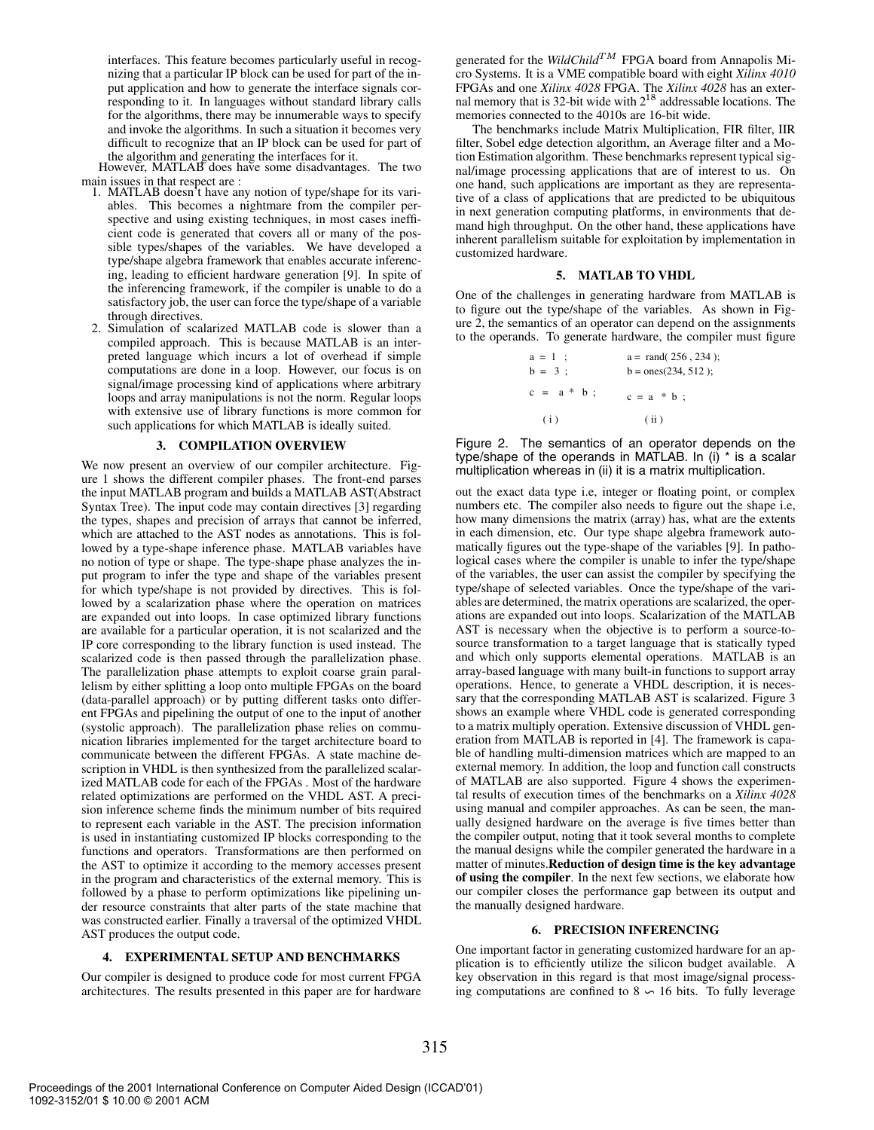interfaces. This feature becomes particularly useful in recognizing that a particular IP block can be used for part of the input application and how to generate the interface signals corresponding to it. In languages without standard library calls for the algorithms, there may be innumerable ways to specify and invoke the algorithms. In such a situation it becomes very difficult to recognize that an IP block can be used for part of the algorithm and generating the interfaces for it.

However, MATLAB does have some disadvantages. The two main issues in that respect are :

- 1. MATLAB doesn't have any notion of type/shape for its variables. This becomes a nightmare from the compiler perspective and using existing techniques, in most cases inefficient code is generated that covers all or many of the possible types/shapes of the variables. We have developed a type/shape algebra framework that enables accurate inferencing, leading to efficient hardware generation [9]. In spite of the inferencing framework, if the compiler is unable to do a satisfactory job, the user can force the type/shape of a variable through directives.
- 2. Simulation of scalarized MATLAB code is slower than a compiled approach. This is because MATLAB is an interpreted language which incurs a lot of overhead if simple computations are done in a loop. However, our focus is on signal/image processing kind of applications where arbitrary loops and array manipulations is not the norm. Regular loops with extensive use of library functions is more common for such applications for which MATLAB is ideally suited.

# **3. COMPILATION OVERVIEW**

We now present an overview of our compiler architecture. Figure 1 shows the different compiler phases. The front-end parses the input MATLAB program and builds a MATLAB AST(Abstract Syntax Tree). The input code may contain directives [3] regarding the types, shapes and precision of arrays that cannot be inferred, which are attached to the AST nodes as annotations. This is followed by a type-shape inference phase. MATLAB variables have no notion of type or shape. The type-shape phase analyzes the input program to infer the type and shape of the variables present for which type/shape is not provided by directives. This is followed by a scalarization phase where the operation on matrices are expanded out into loops. In case optimized library functions are available for a particular operation, it is not scalarized and the IP core corresponding to the library function is used instead. The scalarized code is then passed through the parallelization phase. The parallelization phase attempts to exploit coarse grain parallelism by either splitting a loop onto multiple FPGAs on the board (data-parallel approach) or by putting different tasks onto different FPGAs and pipelining the output of one to the input of another (systolic approach). The parallelization phase relies on communication libraries implemented for the target architecture board to communicate between the different FPGAs. A state machine description in VHDL is then synthesized from the parallelized scalarized MATLAB code for each of the FPGAs . Most of the hardware related optimizations are performed on the VHDL AST. A precision inference scheme finds the minimum number of bits required to represent each variable in the AST. The precision information is used in instantiating customized IP blocks corresponding to the functions and operators. Transformations are then performed on the AST to optimize it according to the memory accesses present in the program and characteristics of the external memory. This is followed by a phase to perform optimizations like pipelining under resource constraints that alter parts of the state machine that was constructed earlier. Finally a traversal of the optimized VHDL AST produces the output code.

# **4. EXPERIMENTAL SETUP AND BENCHMARKS**

Our compiler is designed to produce code for most current FPGA architectures. The results presented in this paper are for hardware

generated for the *WildChild*<sup>TM</sup> FPGA board from Annapolis Micro Systems. It is a VME compatible board with eight *Xilinx 4010* FPGAs and one *Xilinx 4028* FPGA. The *Xilinx 4028* has an external memory that is 32-bit wide with  $2^{18}$  addressable locations. The memories connected to the 4010s are 16-bit wide.

The benchmarks include Matrix Multiplication, FIR filter, IIR filter, Sobel edge detection algorithm, an Average filter and a Motion Estimation algorithm. These benchmarks represent typical signal/image processing applications that are of interest to us. On one hand, such applications are important as they are representative of a class of applications that are predicted to be ubiquitous in next generation computing platforms, in environments that demand high throughput. On the other hand, these applications have inherent parallelism suitable for exploitation by implementation in customized hardware.

#### **5. MATLAB TO VHDL**

One of the challenges in generating hardware from MATLAB is to figure out the type/shape of the variables. As shown in Figure 2, the semantics of an operator can depend on the assignments to the operands. To generate hardware, the compiler must figure

| $a = 1$ ;     | $a = \text{rand}(256, 234);$ |
|---------------|------------------------------|
| $b = 3$ ;     | $b = \text{ones}(234, 512);$ |
| $c = a * b ;$ | $c = a * b ;$                |
| (i)           | (ii)                         |

Figure 2. The semantics of an operator depends on the type/shape of the operands in MATLAB. In (i) \* is a scalar multiplication whereas in (ii) it is a matrix multiplication.

out the exact data type i.e, integer or floating point, or complex numbers etc. The compiler also needs to figure out the shape i.e, how many dimensions the matrix (array) has, what are the extents in each dimension, etc. Our type shape algebra framework automatically figures out the type-shape of the variables [9]. In pathological cases where the compiler is unable to infer the type/shape of the variables, the user can assist the compiler by specifying the type/shape of selected variables. Once the type/shape of the variables are determined, the matrix operations are scalarized, the operations are expanded out into loops. Scalarization of the MATLAB AST is necessary when the objective is to perform a source-tosource transformation to a target language that is statically typed and which only supports elemental operations. MATLAB is an array-based language with many built-in functions to support array operations. Hence, to generate a VHDL description, it is necessary that the corresponding MATLAB AST is scalarized. Figure 3 shows an example where VHDL code is generated corresponding to a matrix multiply operation. Extensive discussion of VHDL generation from MATLAB is reported in [4]. The framework is capable of handling multi-dimension matrices which are mapped to an external memory. In addition, the loop and function call constructs of MATLAB are also supported. Figure 4 shows the experimental results of execution times of the benchmarks on a *Xilinx 4028* using manual and compiler approaches. As can be seen, the manually designed hardware on the average is five times better than the compiler output, noting that it took several months to complete the manual designs while the compiler generated the hardware in a matter of minutes.**Reduction of design time is the key advantage of using the compiler**. In the next few sections, we elaborate how our compiler closes the performance gap between its output and the manually designed hardware.

## **6. PRECISION INFERENCING**

One important factor in generating customized hardware for an application is to efficiently utilize the silicon budget available. A key observation in this regard is that most image/signal processing computations are confined to  $8 \sim 16$  bits. To fully leverage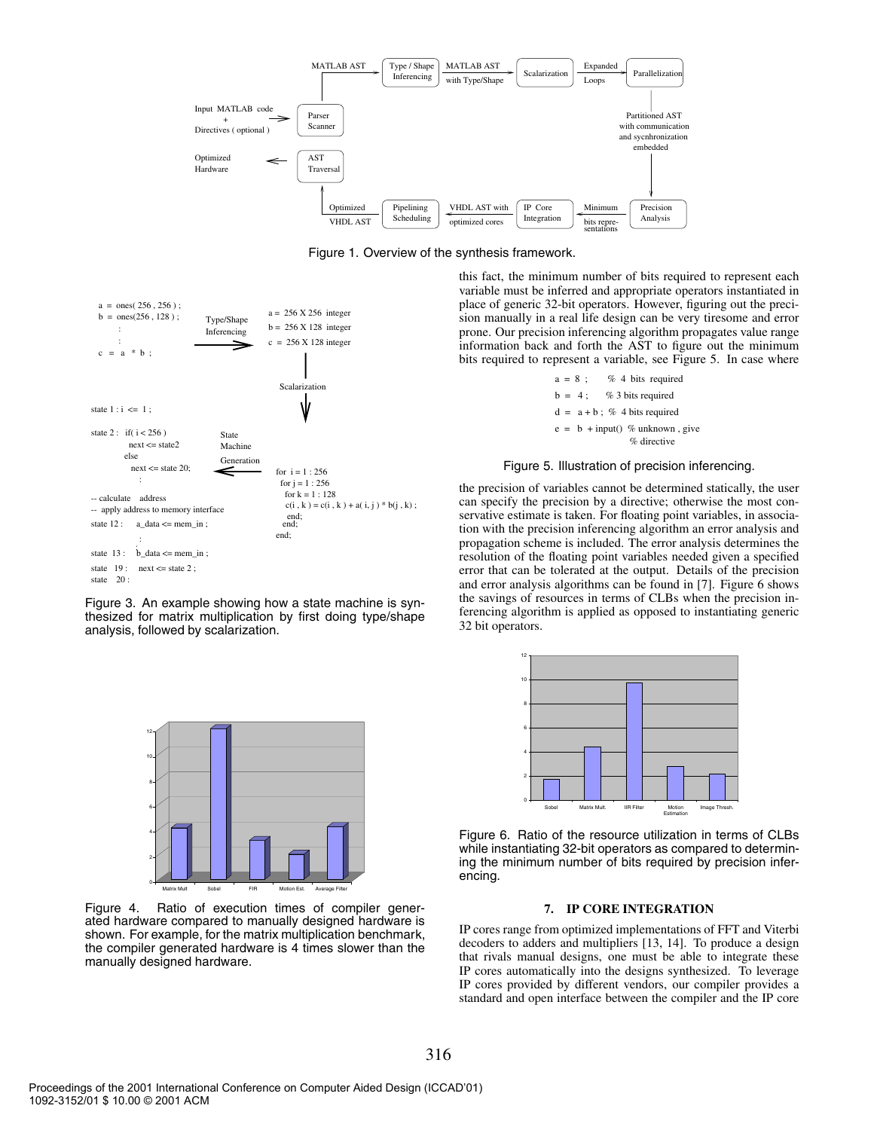





Figure 3. An example showing how a state machine is synthesized for matrix multiplication by first doing type/shape analysis, followed by scalarization.



Figure 4. Ratio of execution times of compiler generated hardware compared to manually designed hardware is shown. For example, for the matrix multiplication benchmark, the compiler generated hardware is 4 times slower than the manually designed hardware.

this fact, the minimum number of bits required to represent each variable must be inferred and appropriate operators instantiated in place of generic 32-bit operators. However, figuring out the precision manually in a real life design can be very tiresome and error prone. Our precision inferencing algorithm propagates value range information back and forth the AST to figure out the minimum bits required to represent a variable, see Figure 5. In case where

> $a = 8$ ; % 4 bits required  $b = 4$ ; % 3 bits required  $d = a + b$ : % 4 bits required  $e = b + input()$  % unknown, give % directive

#### Figure 5. Illustration of precision inferencing.

the precision of variables cannot be determined statically, the user can specify the precision by a directive; otherwise the most conservative estimate is taken. For floating point variables, in association with the precision inferencing algorithm an error analysis and propagation scheme is included. The error analysis determines the resolution of the floating point variables needed given a specified error that can be tolerated at the output. Details of the precision and error analysis algorithms can be found in [7]. Figure 6 shows the savings of resources in terms of CLBs when the precision inferencing algorithm is applied as opposed to instantiating generic 32 bit operators.



Figure 6. Ratio of the resource utilization in terms of CLBs while instantiating 32-bit operators as compared to determining the minimum number of bits required by precision inferencing.

# **7. IP CORE INTEGRATION**

IP cores range from optimized implementations of FFT and Viterbi decoders to adders and multipliers [13, 14]. To produce a design that rivals manual designs, one must be able to integrate these IP cores automatically into the designs synthesized. To leverage IP cores provided by different vendors, our compiler provides a standard and open interface between the compiler and the IP core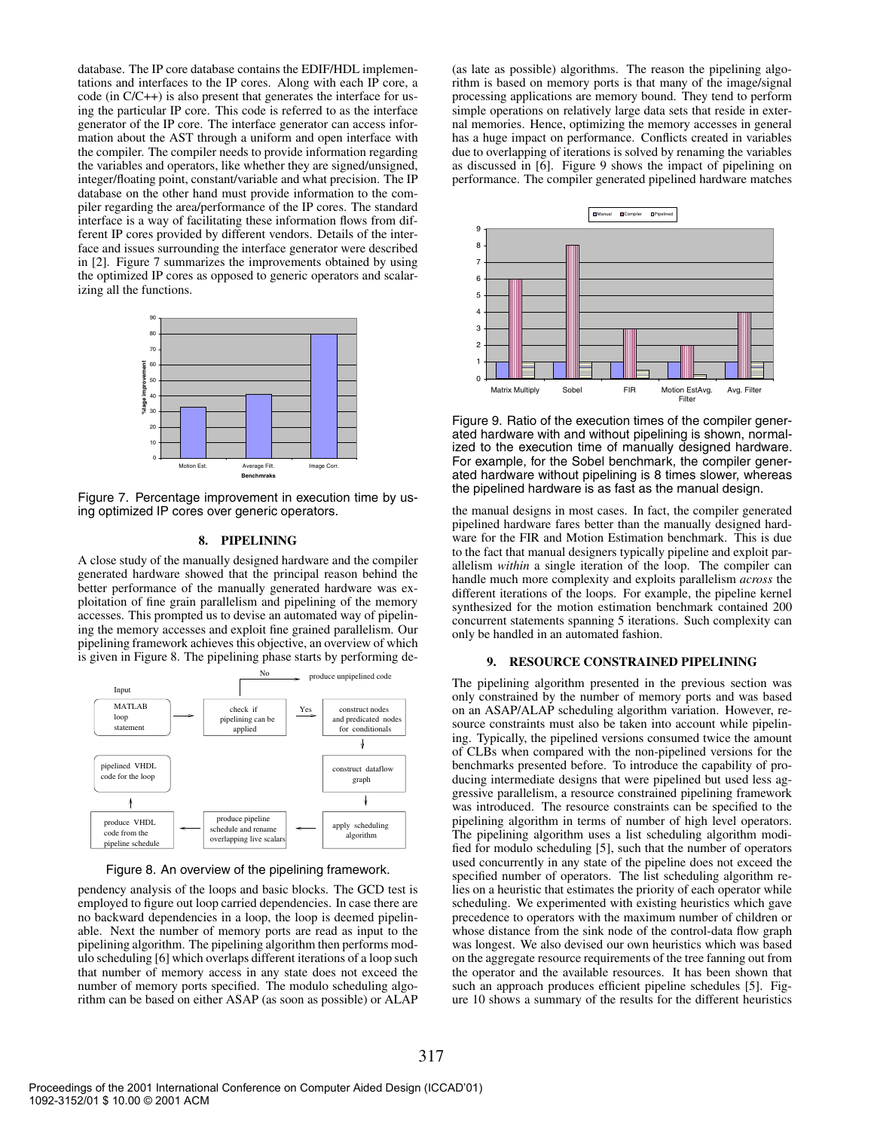database. The IP core database contains the EDIF/HDL implementations and interfaces to the IP cores. Along with each IP core, a code (in C/C++) is also present that generates the interface for using the particular IP core. This code is referred to as the interface generator of the IP core. The interface generator can access information about the AST through a uniform and open interface with the compiler. The compiler needs to provide information regarding the variables and operators, like whether they are signed/unsigned, integer/floating point, constant/variable and what precision. The IP database on the other hand must provide information to the compiler regarding the area/performance of the IP cores. The standard interface is a way of facilitating these information flows from different IP cores provided by different vendors. Details of the interface and issues surrounding the interface generator were described in [2]. Figure 7 summarizes the improvements obtained by using the optimized IP cores as opposed to generic operators and scalarizing all the functions.



Figure 7. Percentage improvement in execution time by using optimized IP cores over generic operators.

# **8. PIPELINING**

A close study of the manually designed hardware and the compiler generated hardware showed that the principal reason behind the better performance of the manually generated hardware was exploitation of fine grain parallelism and pipelining of the memory accesses. This prompted us to devise an automated way of pipelining the memory accesses and exploit fine grained parallelism. Our pipelining framework achieves this objective, an overview of which is given in Figure 8. The pipelining phase starts by performing de-



Figure 8. An overview of the pipelining framework.

pendency analysis of the loops and basic blocks. The GCD test is employed to figure out loop carried dependencies. In case there are no backward dependencies in a loop, the loop is deemed pipelinable. Next the number of memory ports are read as input to the pipelining algorithm. The pipelining algorithm then performs modulo scheduling [6] which overlaps different iterations of a loop such that number of memory access in any state does not exceed the number of memory ports specified. The modulo scheduling algorithm can be based on either ASAP (as soon as possible) or ALAP (as late as possible) algorithms. The reason the pipelining algorithm is based on memory ports is that many of the image/signal processing applications are memory bound. They tend to perform simple operations on relatively large data sets that reside in external memories. Hence, optimizing the memory accesses in general has a huge impact on performance. Conflicts created in variables due to overlapping of iterations is solved by renaming the variables as discussed in [6]. Figure 9 shows the impact of pipelining on performance. The compiler generated pipelined hardware matches



Figure 9. Ratio of the execution times of the compiler generated hardware with and without pipelining is shown, normalized to the execution time of manually designed hardware. For example, for the Sobel benchmark, the compiler generated hardware without pipelining is 8 times slower, whereas the pipelined hardware is as fast as the manual design.

the manual designs in most cases. In fact, the compiler generated pipelined hardware fares better than the manually designed hardware for the FIR and Motion Estimation benchmark. This is due to the fact that manual designers typically pipeline and exploit parallelism *within* a single iteration of the loop. The compiler can handle much more complexity and exploits parallelism *across* the different iterations of the loops. For example, the pipeline kernel synthesized for the motion estimation benchmark contained 200 concurrent statements spanning 5 iterations. Such complexity can only be handled in an automated fashion.

## **9. RESOURCE CONSTRAINED PIPELINING**

The pipelining algorithm presented in the previous section was only constrained by the number of memory ports and was based on an ASAP/ALAP scheduling algorithm variation. However, resource constraints must also be taken into account while pipelining. Typically, the pipelined versions consumed twice the amount of CLBs when compared with the non-pipelined versions for the benchmarks presented before. To introduce the capability of producing intermediate designs that were pipelined but used less aggressive parallelism, a resource constrained pipelining framework was introduced. The resource constraints can be specified to the pipelining algorithm in terms of number of high level operators. The pipelining algorithm uses a list scheduling algorithm modified for modulo scheduling [5], such that the number of operators used concurrently in any state of the pipeline does not exceed the specified number of operators. The list scheduling algorithm relies on a heuristic that estimates the priority of each operator while scheduling. We experimented with existing heuristics which gave precedence to operators with the maximum number of children or whose distance from the sink node of the control-data flow graph was longest. We also devised our own heuristics which was based on the aggregate resource requirements of the tree fanning out from the operator and the available resources. It has been shown that such an approach produces efficient pipeline schedules [5]. Figure 10 shows a summary of the results for the different heuristics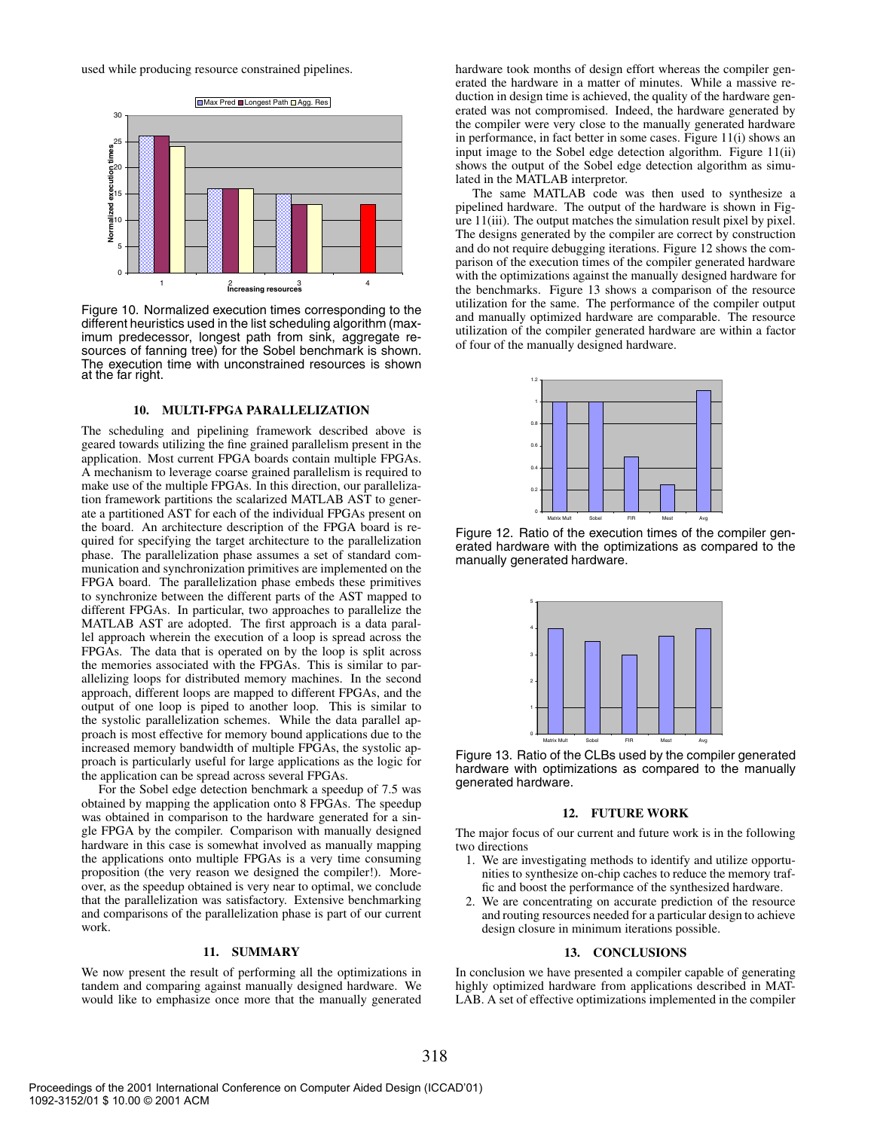used while producing resource constrained pipelines.



Figure 10. Normalized execution times corresponding to the different heuristics used in the list scheduling algorithm (maximum predecessor, longest path from sink, aggregate resources of fanning tree) for the Sobel benchmark is shown. The execution time with unconstrained resources is shown at the far right.

#### **10. MULTI-FPGA PARALLELIZATION**

The scheduling and pipelining framework described above is geared towards utilizing the fine grained parallelism present in the application. Most current FPGA boards contain multiple FPGAs. A mechanism to leverage coarse grained parallelism is required to make use of the multiple FPGAs. In this direction, our parallelization framework partitions the scalarized MATLAB AST to generate a partitioned AST for each of the individual FPGAs present on the board. An architecture description of the FPGA board is required for specifying the target architecture to the parallelization phase. The parallelization phase assumes a set of standard communication and synchronization primitives are implemented on the FPGA board. The parallelization phase embeds these primitives to synchronize between the different parts of the AST mapped to different FPGAs. In particular, two approaches to parallelize the MATLAB AST are adopted. The first approach is a data parallel approach wherein the execution of a loop is spread across the FPGAs. The data that is operated on by the loop is split across the memories associated with the FPGAs. This is similar to parallelizing loops for distributed memory machines. In the second approach, different loops are mapped to different FPGAs, and the output of one loop is piped to another loop. This is similar to the systolic parallelization schemes. While the data parallel approach is most effective for memory bound applications due to the increased memory bandwidth of multiple FPGAs, the systolic approach is particularly useful for large applications as the logic for the application can be spread across several FPGAs.

For the Sobel edge detection benchmark a speedup of 7.5 was obtained by mapping the application onto 8 FPGAs. The speedup was obtained in comparison to the hardware generated for a single FPGA by the compiler. Comparison with manually designed hardware in this case is somewhat involved as manually mapping the applications onto multiple FPGAs is a very time consuming proposition (the very reason we designed the compiler!). Moreover, as the speedup obtained is very near to optimal, we conclude that the parallelization was satisfactory. Extensive benchmarking and comparisons of the parallelization phase is part of our current work.

#### **11. SUMMARY**

We now present the result of performing all the optimizations in tandem and comparing against manually designed hardware. We would like to emphasize once more that the manually generated hardware took months of design effort whereas the compiler generated the hardware in a matter of minutes. While a massive reduction in design time is achieved, the quality of the hardware generated was not compromised. Indeed, the hardware generated by the compiler were very close to the manually generated hardware in performance, in fact better in some cases. Figure 11(i) shows an input image to the Sobel edge detection algorithm. Figure 11(ii) shows the output of the Sobel edge detection algorithm as simulated in the MATLAB interpretor.

The same MATLAB code was then used to synthesize a pipelined hardware. The output of the hardware is shown in Figure 11(iii). The output matches the simulation result pixel by pixel. The designs generated by the compiler are correct by construction and do not require debugging iterations. Figure 12 shows the comparison of the execution times of the compiler generated hardware with the optimizations against the manually designed hardware for the benchmarks. Figure 13 shows a comparison of the resource utilization for the same. The performance of the compiler output and manually optimized hardware are comparable. The resource utilization of the compiler generated hardware are within a factor of four of the manually designed hardware.



Figure 12. Ratio of the execution times of the compiler generated hardware with the optimizations as compared to the manually generated hardware.



Figure 13. Ratio of the CLBs used by the compiler generated hardware with optimizations as compared to the manually generated hardware.

#### **12. FUTURE WORK**

The major focus of our current and future work is in the following two directions

- 1. We are investigating methods to identify and utilize opportunities to synthesize on-chip caches to reduce the memory traffic and boost the performance of the synthesized hardware.
- 2. We are concentrating on accurate prediction of the resource and routing resources needed for a particular design to achieve design closure in minimum iterations possible.

## **13. CONCLUSIONS**

In conclusion we have presented a compiler capable of generating highly optimized hardware from applications described in MAT-LAB. A set of effective optimizations implemented in the compiler